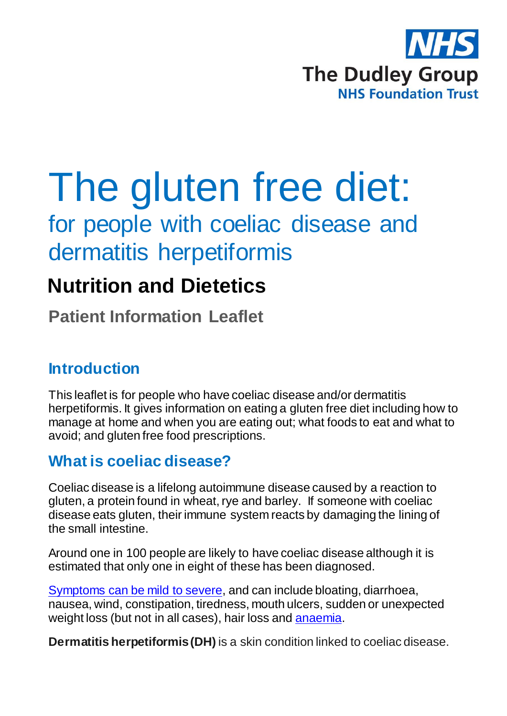

# The gluten free diet:

for people with coeliac disease and dermatitis herpetiformis

## **Nutrition and Dietetics**

**Patient Information Leaflet**

## **Introduction**

This leaflet is for people who have coeliac disease and/or dermatitis herpetiformis. It gives information on eating a gluten free diet including how to manage at home and when you are eating out; what foods to eat and what to avoid; and gluten free food prescriptions.

## **What is coeliac disease?**

Coeliac disease is a lifelong autoimmune disease caused by a reaction to gluten, a protein found in wheat, rye and barley. If someone with coeliac disease eats gluten, their immune system reacts by damaging the lining of the small intestine.

Around one in 100 people are likely to have coeliac disease although it is estimated that only one in eight of these has been diagnosed.

[Symptoms can be mild to severe,](https://www.coeliac.org.uk/coeliac-disease/about-coeliac-disease-and-dermatitis-herpetiformis/symptoms/) and can include bloating, diarrhoea, nausea, wind, constipation, tiredness, mouth ulcers, sudden or unexpected weight loss (but not in all cases), hair loss and [anaemia.](https://www.coeliac.org.uk/glossary/anaemia?destination=/coeliac-disease/about-coeliac-disease-and-dermatitis-herpetiformis/)

**Dermatitis herpetiformis (DH)** is a skin condition linked to coeliac disease.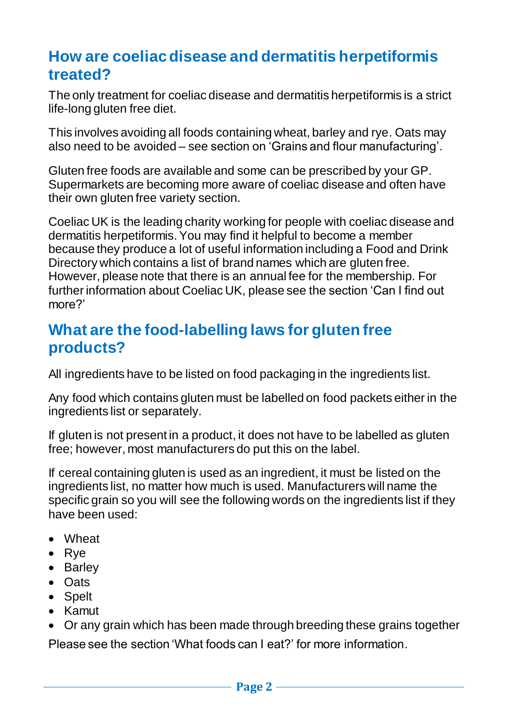## **How are coeliac disease and dermatitis herpetiformis treated?**

The only treatment for coeliac disease and dermatitis herpetiformis is a strict life-long gluten free diet.

This involves avoiding all foods containing wheat, barley and rye. Oats may also need to be avoided – see section on 'Grains and flour manufacturing'.

Gluten free foods are available and some can be prescribed by your GP. Supermarkets are becoming more aware of coeliac disease and often have their own gluten free variety section.

Coeliac UK is the leading charity working for people with coeliac disease and dermatitis herpetiformis. You may find it helpful to become a member because they produce a lot of useful information including a Food and Drink Directory which contains a list of brand names which are gluten free. However, please note that there is an annual fee for the membership. For further information about Coeliac UK, please see the section 'Can I find out more?'

### **What are the food-labelling laws for gluten free products?**

All ingredients have to be listed on food packaging in the ingredients list.

Any food which contains gluten must be labelled on food packets either in the ingredients list or separately.

If gluten is not present in a product, it does not have to be labelled as gluten free; however, most manufacturers do put this on the label.

If cereal containing gluten is used as an ingredient, it must be listed on the ingredients list, no matter how much is used. Manufacturers will name the specific grain so you will see the following words on the ingredients list if they have been used:

- Wheat
- Rye
- Barley
- Oats
- Spelt
- Kamut
- Or any grain which has been made through breeding these grains together Please see the section 'What foods can I eat?' for more information.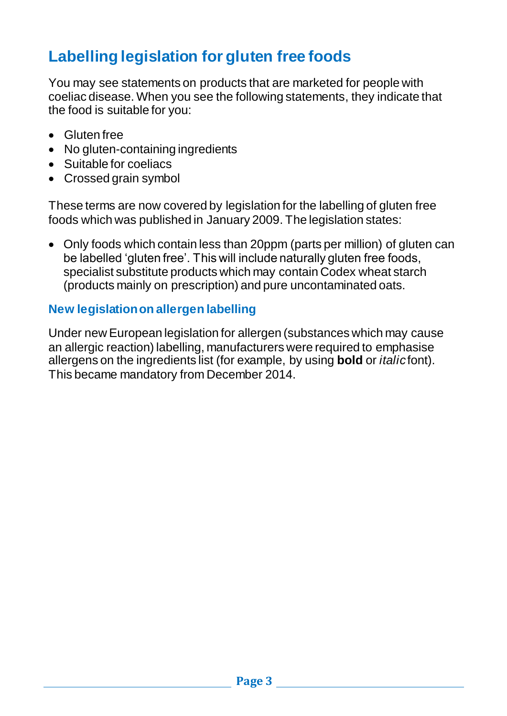## **Labelling legislation for gluten free foods**

You may see statements on products that are marketed for people with coeliac disease. When you see the following statements, they indicate that the food is suitable for you:

- Gluten free
- No gluten-containing ingredients
- Suitable for coeliacs
- Crossed grain symbol

These terms are now covered by legislation for the labelling of gluten free foods which was published in January 2009. The legislation states:

 Only foods which contain less than 20ppm (parts per million) of gluten can be labelled 'gluten free'. This will include naturally gluten free foods, specialist substitute products which may contain Codex wheat starch (products mainly on prescription) and pure uncontaminated oats.

#### **New legislation on allergen labelling**

Under new European legislation for allergen (substances which may cause an allergic reaction) labelling, manufacturers were required to emphasise allergens on the ingredients list (for example, by using **bold** or *italic* font). This became mandatory from December 2014.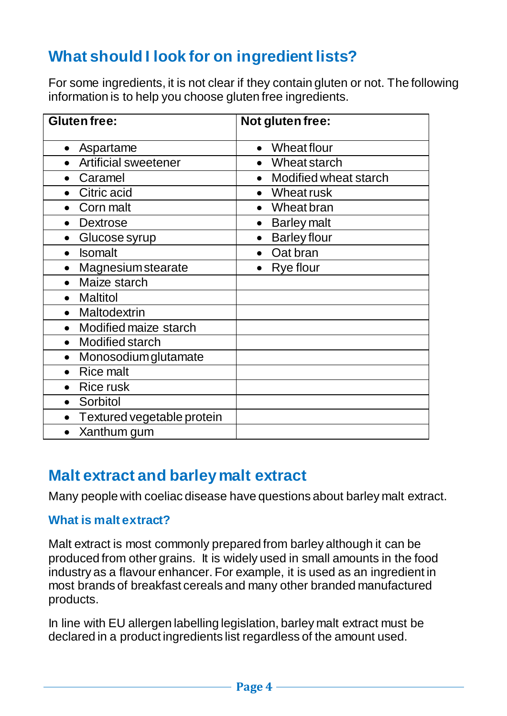## **What should I look for on ingredient lists?**

For some ingredients, it is not clear if they contain gluten or not. The following information is to help you choose gluten free ingredients.

| <b>Gluten free:</b>          | Not gluten free:                |
|------------------------------|---------------------------------|
| Aspartame<br>$\bullet$       | Wheat flour<br>$\bullet$        |
| <b>Artificial sweetener</b>  | • Wheat starch                  |
| Caramel                      | Modified wheat starch           |
| Citric acid                  | Wheat rusk                      |
| Corn malt<br>$\bullet$       | Wheat bran<br>$\bullet$         |
| <b>Dextrose</b><br>$\bullet$ | <b>Barley malt</b><br>$\bullet$ |
| Glucose syrup                | <b>Barley flour</b>             |
| <b>Isomalt</b>               | Oat bran                        |
| <b>Magnesium stearate</b>    | <b>Rye flour</b><br>$\bullet$   |
| Maize starch                 |                                 |
| <b>Maltitol</b>              |                                 |
| Maltodextrin                 |                                 |
| Modified maize starch        |                                 |
| <b>Modified starch</b>       |                                 |
| Monosodium glutamate         |                                 |
| <b>Rice malt</b>             |                                 |
| <b>Rice rusk</b>             |                                 |
| Sorbitol<br>$\bullet$        |                                 |
| Textured vegetable protein   |                                 |
| Xanthum gum                  |                                 |

## **Malt extract and barley malt extract**

Many people with coeliac disease have questions about barley malt extract.

#### **What is malt extract?**

Malt extract is most commonly prepared from barley although it can be produced from other grains. It is widely used in small amounts in the food industry as a flavour enhancer. For example, it is used as an ingredient in most brands of breakfast cereals and many other branded manufactured products.

In line with EU allergen labelling legislation, barley malt extract must be declared in a product ingredients list regardless of the amount used.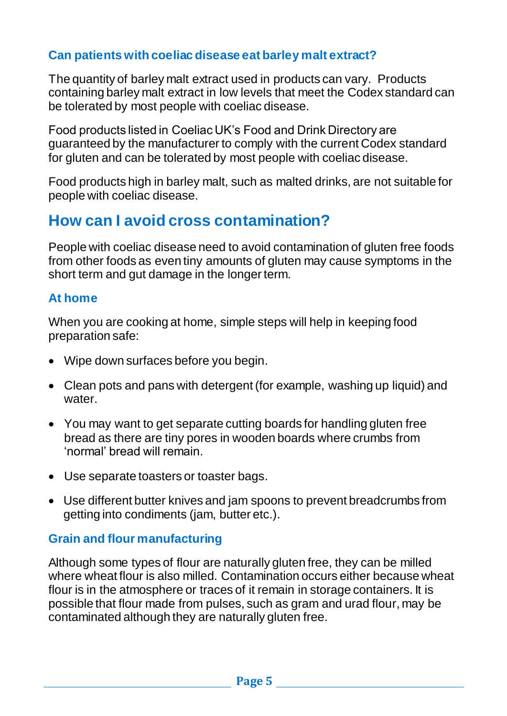#### **Can patients with coeliac disease eat barley malt extract?**

The quantity of barley malt extract used in products can vary. Products containing barley malt extract in low levels that meet the Codex standard can be tolerated by most people with coeliac disease.

Food products listed in Coeliac UK's Food and Drink Directory are guaranteed by the manufacturer to comply with the current Codex standard for gluten and can be tolerated by most people with coeliac disease.

Food products high in barley malt, such as malted drinks, are not suitable for people with coeliac disease.

## **How can I avoid cross contamination?**

People with coeliac disease need to avoid contamination of gluten free foods from other foods as even tiny amounts of gluten may cause symptoms in the short term and gut damage in the longer term.

#### **At home**

When you are cooking at home, simple steps will help in keeping food preparation safe:

- Wipe down surfaces before you begin.
- Clean pots and pans with detergent (for example, washing up liquid) and water.
- You may want to get separate cutting boards for handling gluten free bread as there are tiny pores in wooden boards where crumbs from 'normal' bread will remain.
- Use separate toasters or toaster bags.
- Use different butter knives and jam spoons to prevent breadcrumbs from getting into condiments (jam, butter etc.).

#### **Grain and flour manufacturing**

Although some types of flour are naturally gluten free, they can be milled where wheat flour is also milled. Contamination occurs either because wheat flour is in the atmosphere or traces of it remain in storage containers. It is possible that flour made from pulses, such as gram and urad flour, may be contaminated although they are naturally gluten free.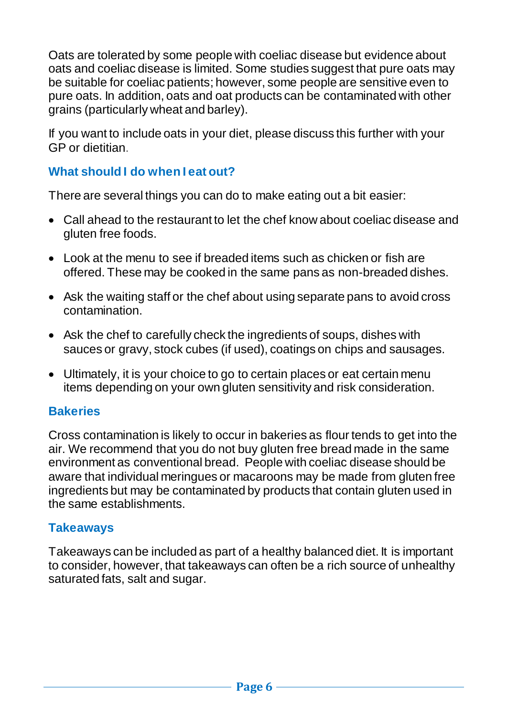Oats are tolerated by some people with coeliac disease but evidence about oats and coeliac disease is limited. Some studies suggest that pure oats may be suitable for coeliac patients; however, some people are sensitive even to pure oats. In addition, oats and oat products can be contaminated with other grains (particularly wheat and barley).

If you want to include oats in your diet, please discuss this further with your GP or dietitian.

#### **What should I do when I eat out?**

There are several things you can do to make eating out a bit easier:

- Call ahead to the restaurant to let the chef know about coeliac disease and gluten free foods.
- Look at the menu to see if breaded items such as chicken or fish are offered. These may be cooked in the same pans as non-breaded dishes.
- Ask the waiting staff or the chef about using separate pans to avoid cross contamination.
- Ask the chef to carefully check the ingredients of soups, dishes with sauces or gravy, stock cubes (if used), coatings on chips and sausages.
- Ultimately, it is your choice to go to certain places or eat certain menu items depending on your own gluten sensitivity and risk consideration.

#### **Bakeries**

Cross contamination is likely to occur in bakeries as flour tends to get into the air. We recommend that you do not buy gluten free bread made in the same environment as conventional bread. People with coeliac disease should be aware that individual meringues or macaroons may be made from gluten free ingredients but may be contaminated by products that contain gluten used in the same establishments.

#### **Takeaways**

Takeaways can be included as part of a healthy balanced diet. It is important to consider, however, that takeaways can often be a rich source of unhealthy saturated fats, salt and sugar.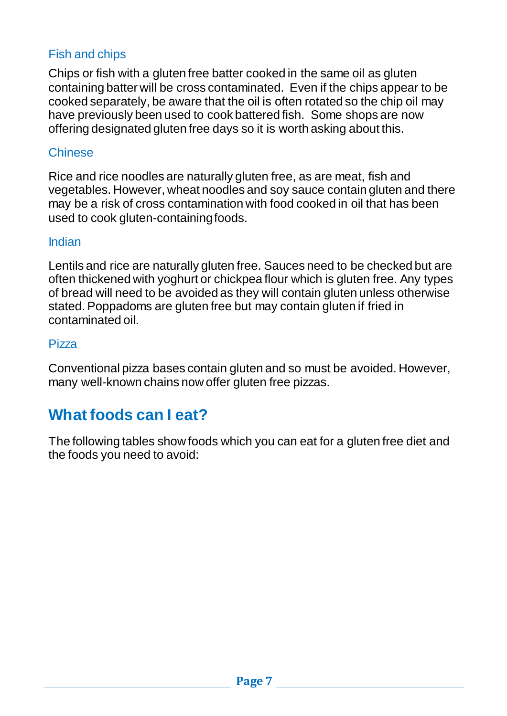#### Fish and chips

Chips or fish with a gluten free batter cooked in the same oil as gluten containing batter will be cross contaminated. Even if the chips appear to be cooked separately, be aware that the oil is often rotated so the chip oil may have previously been used to cook battered fish. Some shops are now offering designated gluten free days so it is worth asking about this.

#### **Chinese**

Rice and rice noodles are naturally gluten free, as are meat, fish and vegetables. However, wheat noodles and soy sauce contain gluten and there may be a risk of cross contamination with food cooked in oil that has been used to cook gluten-containing foods.

#### Indian

Lentils and rice are naturally gluten free. Sauces need to be checked but are often thickened with yoghurt or chickpea flour which is gluten free. Any types of bread will need to be avoided as they will contain gluten unless otherwise stated. Poppadoms are gluten free but may contain gluten if fried in contaminated oil.

#### Pizza

Conventional pizza bases contain gluten and so must be avoided. However, many well-known chains now offer gluten free pizzas.

## **What foods can I eat?**

The following tables show foods which you can eat for a gluten free diet and the foods you need to avoid: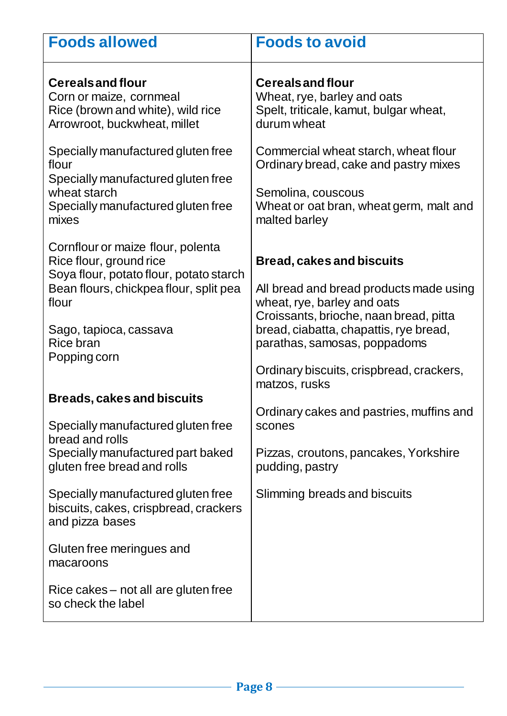| <b>Foods allowed</b>                                                                                                                                                                                              | <b>Foods to avoid</b>                                                                                                                                                                                                                                                                       |
|-------------------------------------------------------------------------------------------------------------------------------------------------------------------------------------------------------------------|---------------------------------------------------------------------------------------------------------------------------------------------------------------------------------------------------------------------------------------------------------------------------------------------|
| <b>Cereals and flour</b><br>Corn or maize, cornmeal<br>Rice (brown and white), wild rice<br>Arrowroot, buckwheat, millet                                                                                          | <b>Cereals and flour</b><br>Wheat, rye, barley and oats<br>Spelt, triticale, kamut, bulgar wheat,<br>durum wheat                                                                                                                                                                            |
| Specially manufactured gluten free<br>flour<br>Specially manufactured gluten free<br>wheat starch<br>Specially manufactured gluten free<br>mixes                                                                  | Commercial wheat starch, wheat flour<br>Ordinary bread, cake and pastry mixes<br>Semolina, couscous<br>Wheat or oat bran, wheat germ, malt and<br>malted barley                                                                                                                             |
| Cornflour or maize flour, polenta<br>Rice flour, ground rice<br>Soya flour, potato flour, potato starch<br>Bean flours, chickpea flour, split pea<br>flour<br>Sago, tapioca, cassava<br>Rice bran<br>Popping corn | <b>Bread, cakes and biscuits</b><br>All bread and bread products made using<br>wheat, rye, barley and oats<br>Croissants, brioche, naan bread, pitta<br>bread, ciabatta, chapattis, rye bread,<br>parathas, samosas, poppadoms<br>Ordinary biscuits, crispbread, crackers,<br>matzos, rusks |
| <b>Breads, cakes and biscuits</b><br>Specially manufactured gluten free<br>bread and rolls<br>Specially manufactured part baked<br>gluten free bread and rolls                                                    | Ordinary cakes and pastries, muffins and<br>scones<br>Pizzas, croutons, pancakes, Yorkshire<br>pudding, pastry                                                                                                                                                                              |
| Specially manufactured gluten free<br>biscuits, cakes, crispbread, crackers<br>and pizza bases<br>Gluten free meringues and<br>macaroons<br>Rice cakes – not all are gluten free                                  | Slimming breads and biscuits                                                                                                                                                                                                                                                                |
| so check the label                                                                                                                                                                                                |                                                                                                                                                                                                                                                                                             |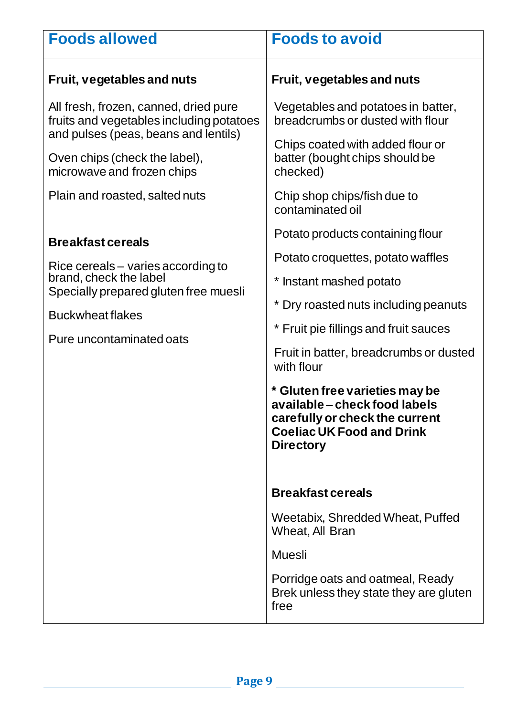| <b>Foods allowed</b>                                                                                                      | <b>Foods to avoid</b>                                                                                                                                     |
|---------------------------------------------------------------------------------------------------------------------------|-----------------------------------------------------------------------------------------------------------------------------------------------------------|
| Fruit, vegetables and nuts                                                                                                | Fruit, vegetables and nuts                                                                                                                                |
| All fresh, frozen, canned, dried pure<br>fruits and vegetables including potatoes<br>and pulses (peas, beans and lentils) | Vegetables and potatoes in batter,<br>breadcrumbs or dusted with flour                                                                                    |
| Oven chips (check the label),<br>microwave and frozen chips                                                               | Chips coated with added flour or<br>batter (bought chips should be<br>checked)                                                                            |
| Plain and roasted, salted nuts                                                                                            | Chip shop chips/fish due to<br>contaminated oil                                                                                                           |
|                                                                                                                           | Potato products containing flour                                                                                                                          |
| <b>Breakfast cereals</b><br>Rice cereals – varies according to<br>brand, check the label                                  | Potato croquettes, potato waffles                                                                                                                         |
|                                                                                                                           | * Instant mashed potato                                                                                                                                   |
| Specially prepared gluten free muesli                                                                                     | * Dry roasted nuts including peanuts                                                                                                                      |
| <b>Buckwheat flakes</b><br>Pure uncontaminated oats                                                                       | * Fruit pie fillings and fruit sauces                                                                                                                     |
|                                                                                                                           | Fruit in batter, breadcrumbs or dusted<br>with flour                                                                                                      |
|                                                                                                                           | * Gluten free varieties may be<br>available – check food labels<br>carefully or check the current<br><b>Coeliac UK Food and Drink</b><br><b>Directory</b> |
|                                                                                                                           | <b>Breakfast cereals</b>                                                                                                                                  |
|                                                                                                                           | Weetabix, Shredded Wheat, Puffed<br>Wheat, All Bran                                                                                                       |
|                                                                                                                           | <b>Muesli</b>                                                                                                                                             |
|                                                                                                                           | Porridge oats and oatmeal, Ready<br>Brek unless they state they are gluten<br>free                                                                        |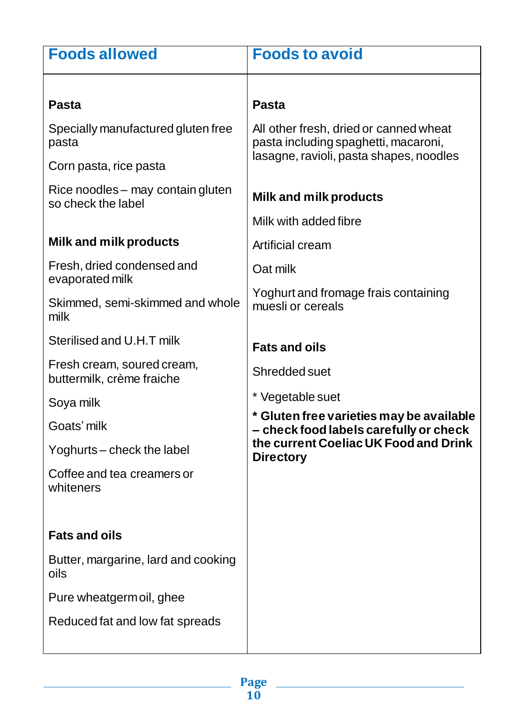| <b>Foods allowed</b>                                    | <b>Foods to avoid</b>                                                              |
|---------------------------------------------------------|------------------------------------------------------------------------------------|
|                                                         |                                                                                    |
| <b>Pasta</b>                                            | <b>Pasta</b>                                                                       |
| Specially manufactured gluten free<br>pasta             | All other fresh, dried or canned wheat<br>pasta including spaghetti, macaroni,     |
| Corn pasta, rice pasta                                  | lasagne, ravioli, pasta shapes, noodles                                            |
| Rice noodles - may contain gluten<br>so check the label | Milk and milk products                                                             |
|                                                         | Milk with added fibre                                                              |
| Milk and milk products                                  | <b>Artificial cream</b>                                                            |
| Fresh, dried condensed and<br>evaporated milk           | Oat milk                                                                           |
| Skimmed, semi-skimmed and whole<br>milk                 | Yoghurt and fromage frais containing<br>muesli or cereals                          |
| Sterilised and U.H.T milk                               | <b>Fats and oils</b>                                                               |
| Fresh cream, soured cream,<br>buttermilk, crème fraiche | Shredded suet                                                                      |
| Soya milk                                               | * Vegetable suet                                                                   |
| Goats' milk                                             | * Gluten free varieties may be available<br>- check food labels carefully or check |
| Yoghurts – check the label                              | the current Coeliac UK Food and Drink<br><b>Directory</b>                          |
| Coffee and tea creamers or<br>whiteners                 |                                                                                    |
|                                                         |                                                                                    |
| <b>Fats and oils</b>                                    |                                                                                    |
| Butter, margarine, lard and cooking<br>oils             |                                                                                    |
| Pure wheatgermoil, ghee                                 |                                                                                    |
| Reduced fat and low fat spreads                         |                                                                                    |
|                                                         |                                                                                    |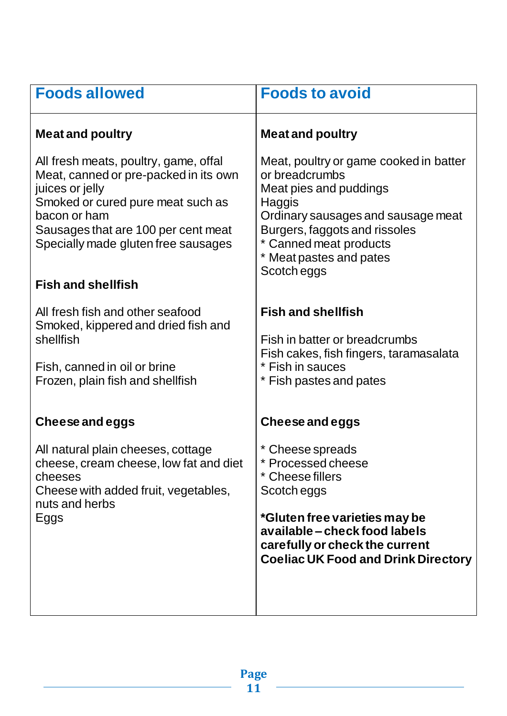| <b>Foods allowed</b>                                                                                                                                                                                                                                              | <b>Foods to avoid</b>                                                                                                                                                                                                                 |
|-------------------------------------------------------------------------------------------------------------------------------------------------------------------------------------------------------------------------------------------------------------------|---------------------------------------------------------------------------------------------------------------------------------------------------------------------------------------------------------------------------------------|
| <b>Meat and poultry</b>                                                                                                                                                                                                                                           | <b>Meat and poultry</b>                                                                                                                                                                                                               |
| All fresh meats, poultry, game, offal<br>Meat, canned or pre-packed in its own<br>juices or jelly<br>Smoked or cured pure meat such as<br>bacon or ham<br>Sausages that are 100 per cent meat<br>Specially made gluten free sausages<br><b>Fish and shellfish</b> | Meat, poultry or game cooked in batter<br>or breadcrumbs<br>Meat pies and puddings<br>Haggis<br>Ordinary sausages and sausage meat<br>Burgers, faggots and rissoles<br>* Canned meat products<br>Meat pastes and pates<br>Scotch eggs |
| All fresh fish and other seafood<br>Smoked, kippered and dried fish and<br>shellfish<br>Fish, canned in oil or brine<br>Frozen, plain fish and shellfish                                                                                                          | <b>Fish and shellfish</b><br>Fish in batter or breadcrumbs<br>Fish cakes, fish fingers, taramasalata<br>* Fish in sauces<br>* Fish pastes and pates                                                                                   |
| Cheese and eggs                                                                                                                                                                                                                                                   | Cheese and eggs                                                                                                                                                                                                                       |
| All natural plain cheeses, cottage<br>cheese, cream cheese, low fat and diet<br>cheeses<br>Cheese with added fruit, vegetables,<br>nuts and herbs<br>Eggs                                                                                                         | Cheese spreads<br>* Processed cheese<br>* Cheese fillers<br>Scotch eggs<br>*Gluten free varieties may be<br>available - check food labels<br>carefully or check the current<br><b>Coeliac UK Food and Drink Directory</b>             |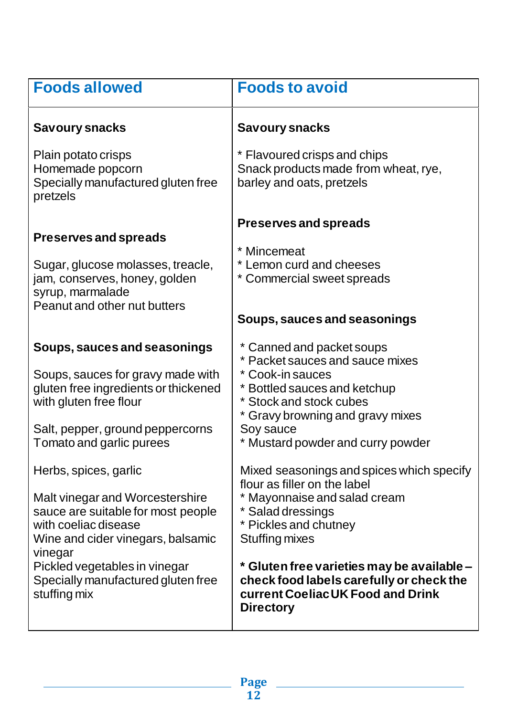| <b>Foods allowed</b>                                                                                                                                                                                    | <b>Foods to avoid</b>                                                                                                                                                                                                             |
|---------------------------------------------------------------------------------------------------------------------------------------------------------------------------------------------------------|-----------------------------------------------------------------------------------------------------------------------------------------------------------------------------------------------------------------------------------|
| <b>Savoury snacks</b>                                                                                                                                                                                   | <b>Savoury snacks</b>                                                                                                                                                                                                             |
| Plain potato crisps<br>Homemade popcorn<br>Specially manufactured gluten free<br>pretzels                                                                                                               | * Flavoured crisps and chips<br>Snack products made from wheat, rye,<br>barley and oats, pretzels                                                                                                                                 |
| <b>Preserves and spreads</b><br>Sugar, glucose molasses, treacle,<br>jam, conserves, honey, golden                                                                                                      | <b>Preserves and spreads</b><br>* Mincemeat<br>* Lemon curd and cheeses<br>* Commercial sweet spreads                                                                                                                             |
| syrup, marmalade<br>Peanut and other nut butters                                                                                                                                                        | Soups, sauces and seasonings                                                                                                                                                                                                      |
| Soups, sauces and seasonings<br>Soups, sauces for gravy made with<br>gluten free ingredients or thickened<br>with gluten free flour<br>Salt, pepper, ground peppercorns<br>Tomato and garlic purees     | * Canned and packet soups<br>* Packet sauces and sauce mixes<br>* Cook-in sauces<br>* Bottled sauces and ketchup<br>* Stock and stock cubes<br>* Gravy browning and gravy mixes<br>Soy sauce<br>* Mustard powder and curry powder |
| Herbs, spices, garlic<br>Malt vinegar and Worcestershire<br>sauce are suitable for most people<br>with coeliac disease<br>Wine and cider vinegars, balsamic<br>vinegar<br>Pickled vegetables in vinegar | Mixed seasonings and spices which specify<br>flour as filler on the label<br>* Mayonnaise and salad cream<br>* Salad dressings<br>* Pickles and chutney<br><b>Stuffing mixes</b><br>* Gluten free varieties may be available -    |
| Specially manufactured gluten free<br>stuffing mix                                                                                                                                                      | check food labels carefully or check the<br>current Coeliac UK Food and Drink<br><b>Directory</b>                                                                                                                                 |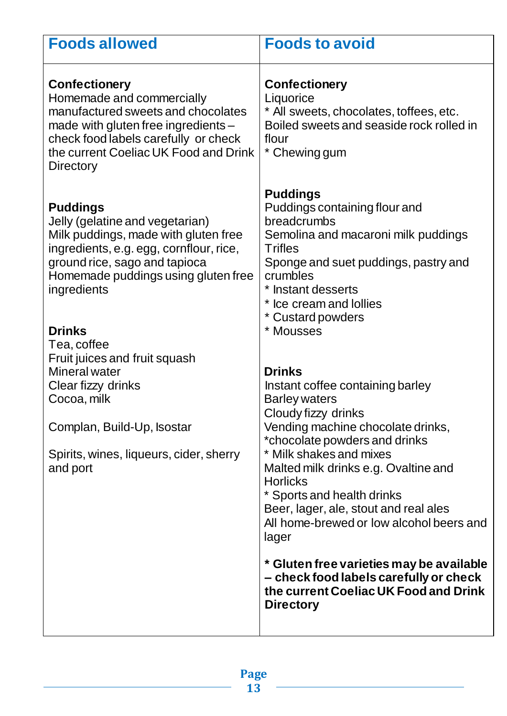| <b>Foods allowed</b>                                                                                                                                                                                                                | <b>Foods to avoid</b>                                                                                                                                                                                                                              |
|-------------------------------------------------------------------------------------------------------------------------------------------------------------------------------------------------------------------------------------|----------------------------------------------------------------------------------------------------------------------------------------------------------------------------------------------------------------------------------------------------|
| <b>Confectionery</b><br>Homemade and commercially<br>manufactured sweets and chocolates<br>made with gluten free ingredients -<br>check food labels carefully or check<br>the current Coeliac UK Food and Drink<br><b>Directory</b> | <b>Confectionery</b><br>Liquorice<br>* All sweets, chocolates, toffees, etc.<br>Boiled sweets and seaside rock rolled in<br>flour<br>* Chewing gum                                                                                                 |
| <b>Puddings</b><br>Jelly (gelatine and vegetarian)<br>Milk puddings, made with gluten free<br>ingredients, e.g. egg, cornflour, rice,<br>ground rice, sago and tapioca<br>Homemade puddings using gluten free<br>ingredients        | <b>Puddings</b><br>Puddings containing flour and<br>breadcrumbs<br>Semolina and macaroni milk puddings<br><b>Trifles</b><br>Sponge and suet puddings, pastry and<br>crumbles<br>* Instant desserts<br>* Ice cream and Iollies<br>* Custard powders |
| <b>Drinks</b><br>Tea, coffee                                                                                                                                                                                                        | * Mousses                                                                                                                                                                                                                                          |
| Fruit juices and fruit squash<br><b>Mineral water</b><br>Clear fizzy drinks<br>Cocoa, milk                                                                                                                                          | <b>Drinks</b><br>Instant coffee containing barley<br><b>Barley waters</b><br>Cloudy fizzy drinks                                                                                                                                                   |
| Complan, Build-Up, Isostar                                                                                                                                                                                                          | Vending machine chocolate drinks,<br>*chocolate powders and drinks                                                                                                                                                                                 |
| Spirits, wines, liqueurs, cider, sherry<br>and port                                                                                                                                                                                 | * Milk shakes and mixes<br>Malted milk drinks e.g. Ovaltine and<br><b>Horlicks</b><br>* Sports and health drinks<br>Beer, lager, ale, stout and real ales<br>All home-brewed or low alcohol beers and<br>lager                                     |
|                                                                                                                                                                                                                                     | * Gluten free varieties may be available<br>- check food labels carefully or check<br>the current Coeliac UK Food and Drink<br><b>Directory</b>                                                                                                    |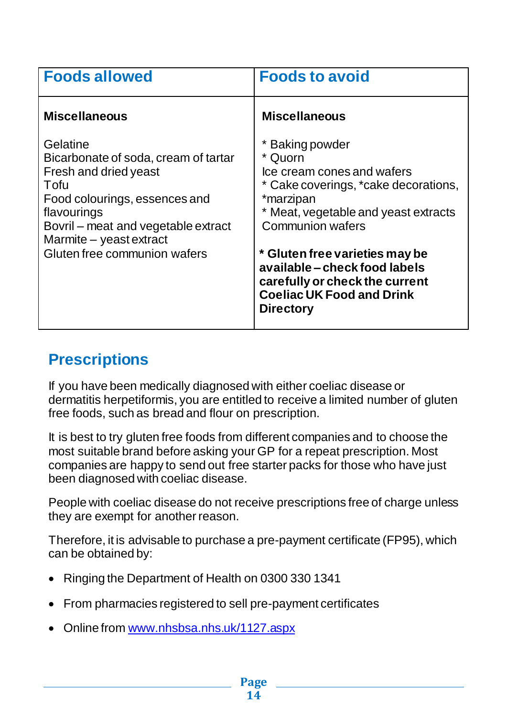| <b>Foods allowed</b>                                                                                                                                                                                                                | <b>Foods to avoid</b>                                                                                                                                                                                                                                                                                                                         |
|-------------------------------------------------------------------------------------------------------------------------------------------------------------------------------------------------------------------------------------|-----------------------------------------------------------------------------------------------------------------------------------------------------------------------------------------------------------------------------------------------------------------------------------------------------------------------------------------------|
| <b>Miscellaneous</b>                                                                                                                                                                                                                | <b>Miscellaneous</b>                                                                                                                                                                                                                                                                                                                          |
| Gelatine<br>Bicarbonate of soda, cream of tartar<br>Fresh and dried yeast<br>Tofu<br>Food colourings, essences and<br>flavourings<br>Bovril – meat and vegetable extract<br>Marmite - yeast extract<br>Gluten free communion wafers | * Baking powder<br>* Quorn<br>Ice cream cones and wafers<br>* Cake coverings, *cake decorations,<br>*marzipan<br>* Meat, vegetable and yeast extracts<br><b>Communion wafers</b><br>* Gluten free varieties may be<br>available – check food labels<br>carefully or check the current<br><b>Coeliac UK Food and Drink</b><br><b>Directory</b> |

## **Prescriptions**

If you have been medically diagnosed with either coeliac disease or dermatitis herpetiformis, you are entitled to receive a limited number of gluten free foods, such as bread and flour on prescription.

It is best to try gluten free foods from different companies and to choose the most suitable brand before asking your GP for a repeat prescription. Most companies are happy to send out free starter packs for those who have just been diagnosed with coeliac disease.

People with coeliac disease do not receive prescriptions free of charge unless they are exempt for another reason.

Therefore, it is advisable to purchase a pre-payment certificate (FP95), which can be obtained by:

- Ringing the Department of Health on 0300 330 1341
- From pharmacies registered to sell pre-payment certificates
- Online from [www.nhsbsa.nhs.uk/1127.aspx](http://www.nhsbsa.nhs.uk/1127.aspx)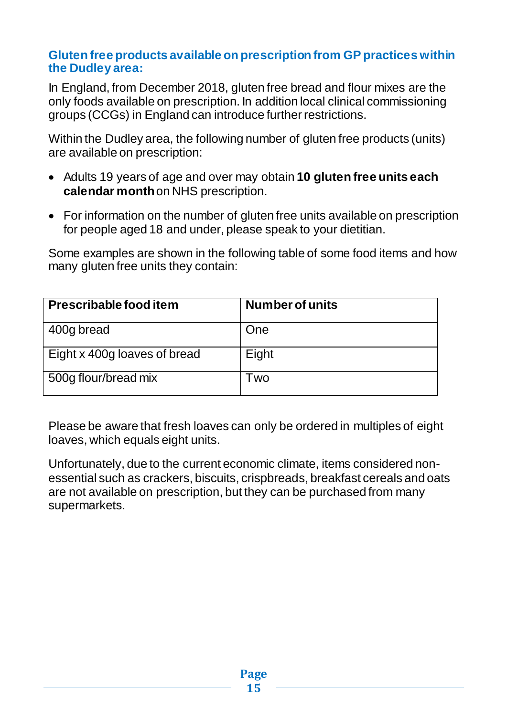#### **Gluten free products available on prescription from GP practices within the Dudley area:**

In England, from December 2018, gluten free bread and flour mixes are the only foods available on prescription. In addition local clinical commissioning groups (CCGs) in England can introduce further restrictions.

Within the Dudley area, the following number of gluten free products (units) are available on prescription:

- Adults 19 years of age and over may obtain **10 gluten free units each calendar month**on NHS prescription.
- For information on the number of gluten free units available on prescription for people aged 18 and under, please speak to your dietitian.

Some examples are shown in the following table of some food items and how many gluten free units they contain:

| Prescribable food item       | <b>Number of units</b> |
|------------------------------|------------------------|
| 400g bread                   | One                    |
| Eight x 400g loaves of bread | Eight                  |
| 500g flour/bread mix         | l wo                   |

Please be aware that fresh loaves can only be ordered in multiples of eight loaves, which equals eight units.

Unfortunately, due to the current economic climate, items considered nonessential such as crackers, biscuits, crispbreads, breakfast cereals and oats are not available on prescription, but they can be purchased from many supermarkets.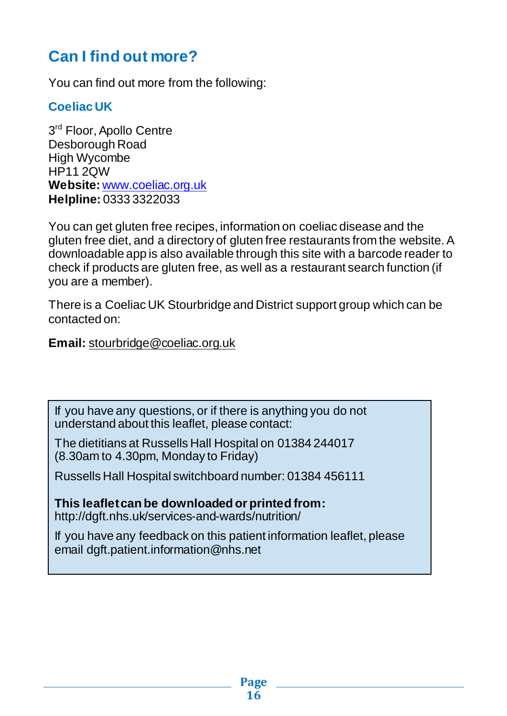## **Can I find out more?**

You can find out more from the following:

#### **Coeliac UK**

3<sup>rd</sup> Floor, Apollo Centre Desborough Road High Wycombe HP11 2QW **Website:** [www.coeliac.org.uk](http://www.coeliac.org.uk/) **Helpline:** 0333 3322033

You can get gluten free recipes, information on coeliac disease and the gluten free diet, and a directory of gluten free restaurants from the website. A downloadable app is also available through this site with a barcode reader to check if products are gluten free, as well as a restaurant search function (if you are a member).

There is a Coeliac UK Stourbridge and District support group which can be contacted on:

**Email:** [stourbridge@coeliac.org.uk](mailto:stourbridge@coeliac.org.uk)

If you have any questions, or if there is anything you do not understand about this leaflet, please contact:

The dietitians at Russells Hall Hospital on 01384 244017 (8.30am to 4.30pm, Monday to Friday)

Russells Hall Hospital switchboard number: 01384 456111

**This leaflet can be downloaded or printed from:** http://dgft.nhs.uk/services-and-wards/nutrition/

If you have any feedback on this patient information leaflet, please email dgft.patient.information@nhs.net